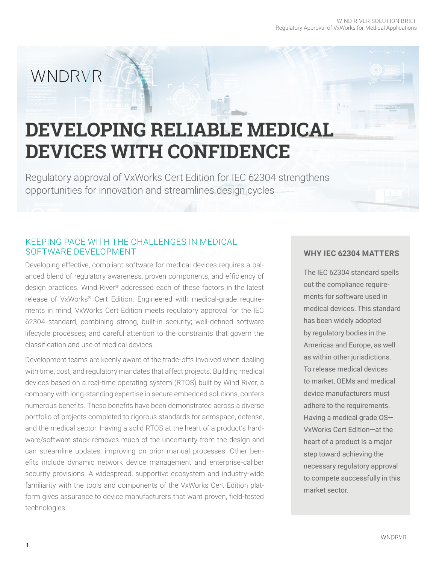# WNDRVR

# **DEVELOPING RELIABLE MEDICAL DEVICES WITH CONFIDENCE**

Regulatory approval of VxWorks Cert Edition for IEC 62304 strengthens opportunities for innovation and streamlines design cycles

## KEEPING PACE WITH THE CHALLENGES IN MEDICAL SOFTWARE DEVELOPMENT

Developing effective, compliant software for medical devices requires a balanced blend of regulatory awareness, proven components, and efficiency of design practices. Wind River® addressed each of these factors in the latest release of VxWorks® Cert Edition. Engineered with medical-grade requirements in mind, VxWorks Cert Edition meets regulatory approval for the IEC 62304 standard, combining strong, built-in security; well-defined software lifecycle processes; and careful attention to the constraints that govern the classification and use of medical devices.

Development teams are keenly aware of the trade-offs involved when dealing with time, cost, and regulatory mandates that affect projects. Building medical devices based on a real-time operating system (RTOS) built by Wind River, a company with long-standing expertise in secure embedded solutions, confers numerous benefits. These benefits have been demonstrated across a diverse portfolio of projects completed to rigorous standards for aerospace, defense, and the medical sector. Having a solid RTOS at the heart of a product's hardware/software stack removes much of the uncertainty from the design and can streamline updates, improving on prior manual processes. Other benefits include dynamic network device management and enterprise-caliber security provisions. A widespread, supportive ecosystem and industry-wide familiarity with the tools and components of the VxWorks Cert Edition platform gives assurance to device manufacturers that want proven, field-tested technologies.

#### **WHY IEC 62304 MATTERS**

The IEC 62304 standard spells out the compliance requirements for software used in medical devices. This standard has been widely adopted by regulatory bodies in the Americas and Europe, as well as within other jurisdictions. To release medical devices to market, OEMs and medical device manufacturers must adhere to the requirements. Having a medical grade OS— VxWorks Cert Edition—at the heart of a product is a major step toward achieving the necessary regulatory approval to compete successfully in this market sector.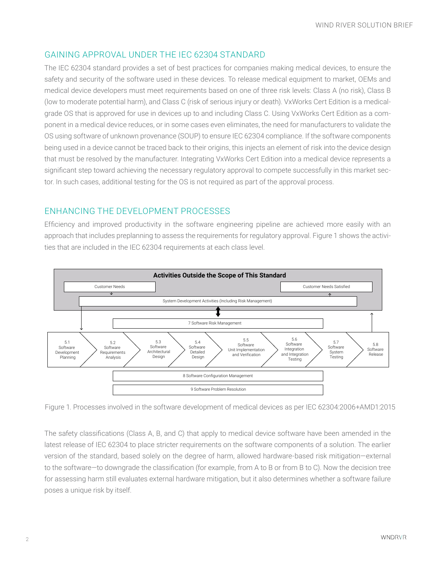# GAINING APPROVAL UNDER THE IEC 62304 STANDARD

The IEC 62304 standard provides a set of best practices for companies making medical devices, to ensure the safety and security of the software used in these devices. To release medical equipment to market, OEMs and medical device developers must meet requirements based on one of three risk levels: Class A (no risk), Class B (low to moderate potential harm), and Class C (risk of serious injury or death). VxWorks Cert Edition is a medicalgrade OS that is approved for use in devices up to and including Class C. Using VxWorks Cert Edition as a component in a medical device reduces, or in some cases even eliminates, the need for manufacturers to validate the OS using software of unknown provenance (SOUP) to ensure IEC 62304 compliance. If the software components being used in a device cannot be traced back to their origins, this injects an element of risk into the device design that must be resolved by the manufacturer. Integrating VxWorks Cert Edition into a medical device represents a significant step toward achieving the necessary regulatory approval to compete successfully in this market sector. In such cases, additional testing for the OS is not required as part of the approval process.

# ENHANCING THE DEVELOPMENT PROCESSES

Efficiency and improved productivity in the software engineering pipeline are achieved more easily with an approach that includes preplanning to assess the requirements for regulatory approval. Figure 1 shows the activities that are included in the IEC 62304 requirements at each class level.



Figure 1. Processes involved in the software development of medical devices as per IEC 62304:2006+AMD1:2015

The safety classifications (Class A, B, and C) that apply to medical device software have been amended in the latest release of IEC 62304 to place stricter requirements on the software components of a solution. The earlier version of the standard, based solely on the degree of harm, allowed hardware-based risk mitigation—external to the software—to downgrade the classification (for example, from A to B or from B to C). Now the decision tree for assessing harm still evaluates external hardware mitigation, but it also determines whether a software failure poses a unique risk by itself.